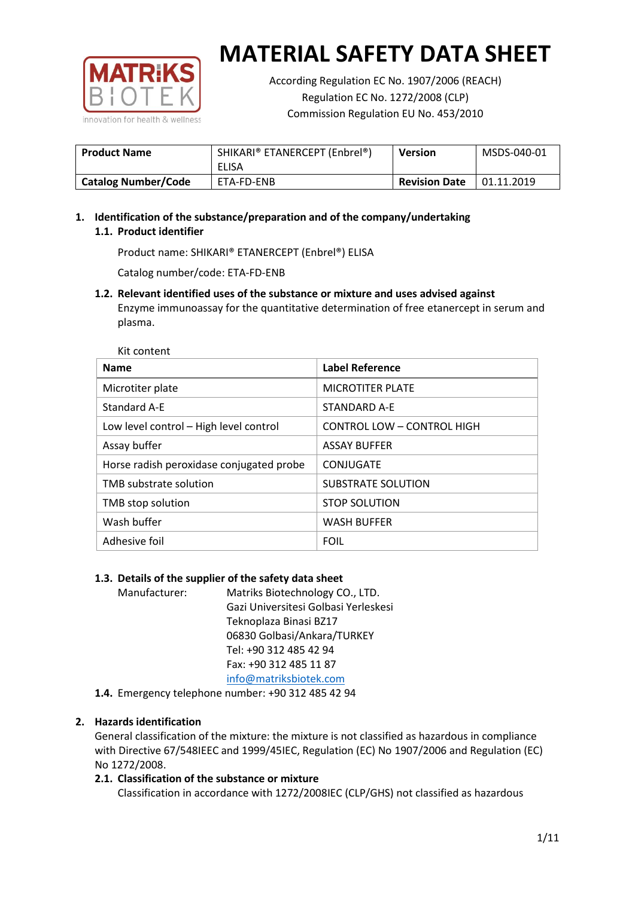

According Regulation EC No. 1907/2006 (REACH) Regulation EC No. 1272/2008 (CLP) Commission Regulation EU No. 453/2010

| <b>Product Name</b>        | SHIKARI® ETANERCEPT (Enbrel®)<br>ELISA | Version              | MSDS-040-01 |
|----------------------------|----------------------------------------|----------------------|-------------|
| <b>Catalog Number/Code</b> | ETA-FD-ENB                             | <b>Revision Date</b> | 01.11.2019  |

# **1. Identification of the substance/preparation and of the company/undertaking 1.1. Product identifier**

Product name: SHIKARI® ETANERCEPT (Enbrel®) ELISA

Catalog number/code: ETA-FD-ENB

**1.2. Relevant identified uses of the substance or mixture and uses advised against** Enzyme immunoassay for the quantitative determination of free etanercept in serum and plasma.

| <b>Name</b>                              | <b>Label Reference</b>            |
|------------------------------------------|-----------------------------------|
| Microtiter plate                         | <b>MICROTITER PLATE</b>           |
| Standard A-E                             | STANDARD A-F                      |
| Low level control - High level control   | <b>CONTROL LOW - CONTROL HIGH</b> |
| Assay buffer                             | <b>ASSAY BUFFER</b>               |
| Horse radish peroxidase conjugated probe | CONJUGATE                         |
| TMB substrate solution                   | <b>SUBSTRATE SOLUTION</b>         |
| TMB stop solution                        | <b>STOP SOLUTION</b>              |
| Wash buffer                              | <b>WASH BUFFER</b>                |
| Adhesive foil                            | <b>FOIL</b>                       |

## **1.3. Details of the supplier of the safety data sheet**

Manufacturer: Matriks Biotechnology CO., LTD. Gazi Universitesi Golbasi Yerleskesi Teknoplaza Binasi BZ17 06830 Golbasi/Ankara/TURKEY Tel: +90 312 485 42 94 Fax: +90 312 485 11 87 [info@matriksbiotek.com](mailto:info@matriksbiotek.com)

**1.4.** Emergency telephone number: +90 312 485 42 94

## **2. Hazards identification**

General classification of the mixture: the mixture is not classified as hazardous in compliance with Directive 67/548IEEC and 1999/45IEC, Regulation (EC) No 1907/2006 and Regulation (EC) No 1272/2008.

## **2.1. Classification of the substance or mixture**

Classification in accordance with 1272/2008IEC (CLP/GHS) not classified as hazardous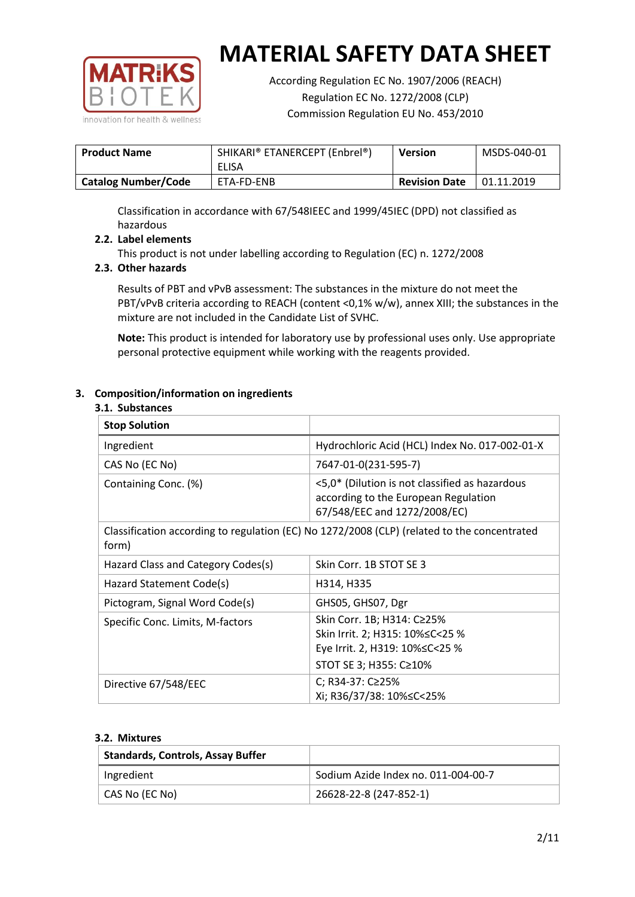

According Regulation EC No. 1907/2006 (REACH) Regulation EC No. 1272/2008 (CLP) Commission Regulation EU No. 453/2010

| <b>Product Name</b>        | SHIKARI® ETANERCEPT (Enbrel®)<br>ELISA | <b>Version</b>       | MSDS-040-01 |
|----------------------------|----------------------------------------|----------------------|-------------|
| <b>Catalog Number/Code</b> | ETA-FD-ENB                             | <b>Revision Date</b> | 01.11.2019  |

Classification in accordance with 67/548IEEC and 1999/45IEC (DPD) not classified as hazardous

## **2.2. Label elements**

This product is not under labelling according to Regulation (EC) n. 1272/2008

## **2.3. Other hazards**

Results of PBT and vPvB assessment: The substances in the mixture do not meet the PBT/vPvB criteria according to REACH (content <0,1% w/w), annex XIII; the substances in the mixture are not included in the Candidate List of SVHC.

**Note:** This product is intended for laboratory use by professional uses only. Use appropriate personal protective equipment while working with the reagents provided.

## **3. Composition/information on ingredients**

#### **3.1. Substances**

| <b>Stop Solution</b>                                                                                 |                                                                                                                               |
|------------------------------------------------------------------------------------------------------|-------------------------------------------------------------------------------------------------------------------------------|
| Ingredient                                                                                           | Hydrochloric Acid (HCL) Index No. 017-002-01-X                                                                                |
| CAS No (EC No)                                                                                       | 7647-01-0(231-595-7)                                                                                                          |
| Containing Conc. (%)                                                                                 | <5,0* (Dilution is not classified as hazardous<br>according to the European Regulation<br>67/548/EEC and 1272/2008/EC)        |
| Classification according to regulation (EC) No 1272/2008 (CLP) (related to the concentrated<br>form) |                                                                                                                               |
| Hazard Class and Category Codes(s)                                                                   | Skin Corr. 1B STOT SE 3                                                                                                       |
| Hazard Statement Code(s)                                                                             | H314, H335                                                                                                                    |
| Pictogram, Signal Word Code(s)                                                                       | GHS05, GHS07, Dgr                                                                                                             |
| Specific Conc. Limits, M-factors                                                                     | Skin Corr. 1B; H314: C≥25%<br>Skin Irrit. 2; H315: 10% ≤ C < 25 %<br>Eye Irrit. 2, H319: 10%≤C<25 %<br>STOT SE 3; H355: C≥10% |
| Directive 67/548/EEC                                                                                 | C; R34-37: C≥25%<br>Xi; R36/37/38: 10%≤C<25%                                                                                  |

#### **3.2. Mixtures**

| <b>Standards, Controls, Assay Buffer</b> |                                     |
|------------------------------------------|-------------------------------------|
| Ingredient                               | Sodium Azide Index no. 011-004-00-7 |
| CAS No (EC No)                           | 26628-22-8 (247-852-1)              |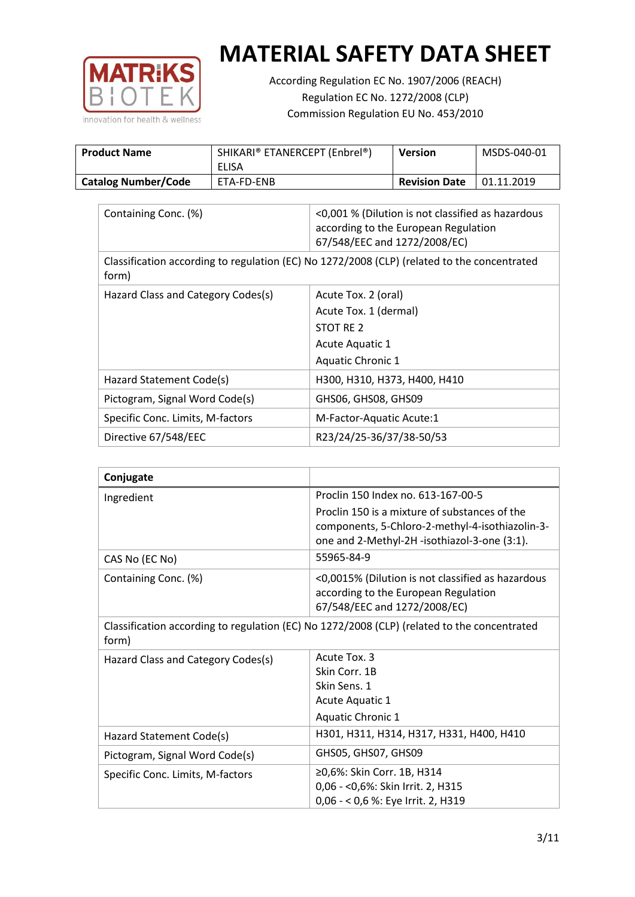

According Regulation EC No. 1907/2006 (REACH) Regulation EC No. 1272/2008 (CLP) Commission Regulation EU No. 453/2010

| <b>Product Name</b>        | SHIKARI® ETANERCEPT (Enbrel®)<br>ELISA | <b>Version</b>       | MSDS-040-01 |
|----------------------------|----------------------------------------|----------------------|-------------|
| <b>Catalog Number/Code</b> | <b>ETA-FD-ENB</b>                      | <b>Revision Date</b> | 01.11.2019  |

| Containing Conc. (%)                                                                                 | <0,001 % (Dilution is not classified as hazardous<br>according to the European Regulation<br>67/548/EEC and 1272/2008/EC) |  |
|------------------------------------------------------------------------------------------------------|---------------------------------------------------------------------------------------------------------------------------|--|
| Classification according to regulation (EC) No 1272/2008 (CLP) (related to the concentrated<br>form) |                                                                                                                           |  |
| Hazard Class and Category Codes(s)                                                                   | Acute Tox. 2 (oral)                                                                                                       |  |
|                                                                                                      | Acute Tox. 1 (dermal)                                                                                                     |  |
|                                                                                                      | STOT RE 2                                                                                                                 |  |
|                                                                                                      | Acute Aquatic 1                                                                                                           |  |
|                                                                                                      | Aquatic Chronic 1                                                                                                         |  |
| Hazard Statement Code(s)                                                                             | H300, H310, H373, H400, H410                                                                                              |  |
| Pictogram, Signal Word Code(s)                                                                       | GHS06, GHS08, GHS09                                                                                                       |  |
| Specific Conc. Limits, M-factors                                                                     | M-Factor-Aquatic Acute:1                                                                                                  |  |
| Directive 67/548/EEC                                                                                 | R23/24/25-36/37/38-50/53                                                                                                  |  |

| Conjugate                          |                                                                                                                                                  |
|------------------------------------|--------------------------------------------------------------------------------------------------------------------------------------------------|
| Ingredient                         | Proclin 150 Index no. 613-167-00-5                                                                                                               |
|                                    | Proclin 150 is a mixture of substances of the<br>components, 5-Chloro-2-methyl-4-isothiazolin-3-<br>one and 2-Methyl-2H -isothiazol-3-one (3:1). |
| CAS No (EC No)                     | 55965-84-9                                                                                                                                       |
| Containing Conc. (%)               | <0,0015% (Dilution is not classified as hazardous<br>according to the European Regulation<br>67/548/EEC and 1272/2008/EC)                        |
| form)                              | Classification according to regulation (EC) No 1272/2008 (CLP) (related to the concentrated                                                      |
| Hazard Class and Category Codes(s) | Acute Tox, 3<br>Skin Corr. 1B<br>Skin Sens. 1<br><b>Acute Aquatic 1</b><br><b>Aquatic Chronic 1</b>                                              |
| Hazard Statement Code(s)           | H301, H311, H314, H317, H331, H400, H410                                                                                                         |
| Pictogram, Signal Word Code(s)     | GHS05, GHS07, GHS09                                                                                                                              |
| Specific Conc. Limits, M-factors   | ≥0,6%: Skin Corr. 1B, H314<br>0,06 - < 0,6%: Skin Irrit. 2, H315<br>0,06 - < 0,6 %: Eye Irrit. 2, H319                                           |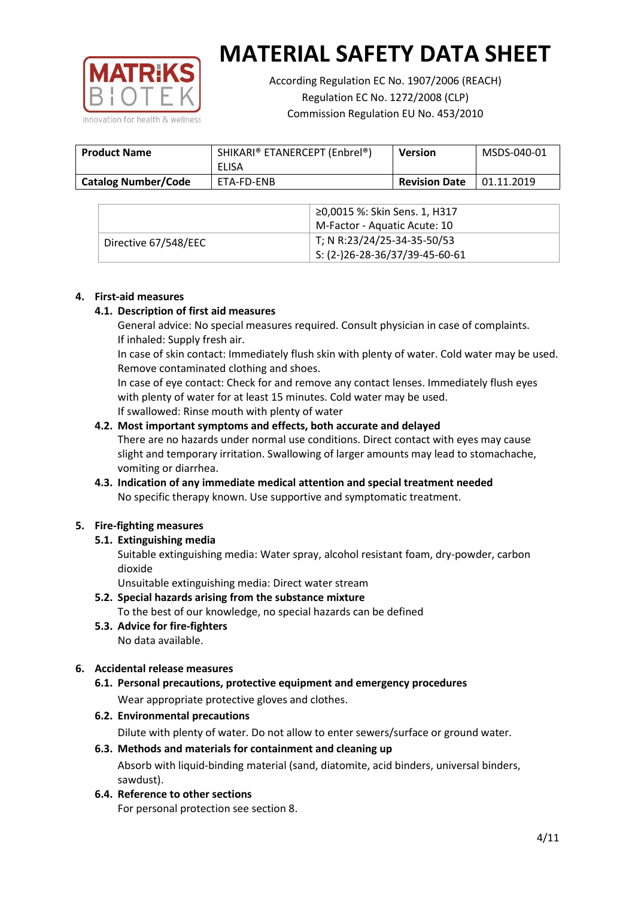

According Regulation EC No. 1907/2006 (REACH) Regulation EC No. 1272/2008 (CLP) Commission Regulation EU No. 453/2010

| <b>Product Name</b>        | SHIKARI® ETANERCEPT (Enbrel®)<br>ELISA | <b>Version</b>       | MSDS-040-01 |
|----------------------------|----------------------------------------|----------------------|-------------|
| <b>Catalog Number/Code</b> | ETA-FD-ENB                             | <b>Revision Date</b> | 01.11.2019  |

|                      | ≥0,0015 %: Skin Sens. 1, H317                |
|----------------------|----------------------------------------------|
|                      | M-Factor - Aquatic Acute: 10                 |
| Directive 67/548/EEC | T; N R:23/24/25-34-35-50/53                  |
|                      | $\frac{1}{2}$ S: (2-)26-28-36/37/39-45-60-61 |

#### **4. First-aid measures**

## **4.1. Description of first aid measures**

General advice: No special measures required. Consult physician in case of complaints. If inhaled: Supply fresh air.

In case of skin contact: Immediately flush skin with plenty of water. Cold water may be used. Remove contaminated clothing and shoes.

In case of eye contact: Check for and remove any contact lenses. Immediately flush eyes with plenty of water for at least 15 minutes. Cold water may be used. If swallowed: Rinse mouth with plenty of water

## **4.2. Most important symptoms and effects, both accurate and delayed**

There are no hazards under normal use conditions. Direct contact with eyes may cause slight and temporary irritation. Swallowing of larger amounts may lead to stomachache, vomiting or diarrhea.

## **4.3. Indication of any immediate medical attention and special treatment needed** No specific therapy known. Use supportive and symptomatic treatment.

## **5. Fire-fighting measures**

## **5.1. Extinguishing media**

Suitable extinguishing media: Water spray, alcohol resistant foam, dry-powder, carbon dioxide

Unsuitable extinguishing media: Direct water stream

- **5.2. Special hazards arising from the substance mixture** To the best of our knowledge, no special hazards can be defined
- **5.3. Advice for fire-fighters** No data available.

## **6. Accidental release measures**

- **6.1. Personal precautions, protective equipment and emergency procedures** Wear appropriate protective gloves and clothes.
- **6.2. Environmental precautions**

Dilute with plenty of water. Do not allow to enter sewers/surface or ground water.

#### **6.3. Methods and materials for containment and cleaning up**

Absorb with liquid-binding material (sand, diatomite, acid binders, universal binders, sawdust).

**6.4. Reference to other sections**

For personal protection see section 8.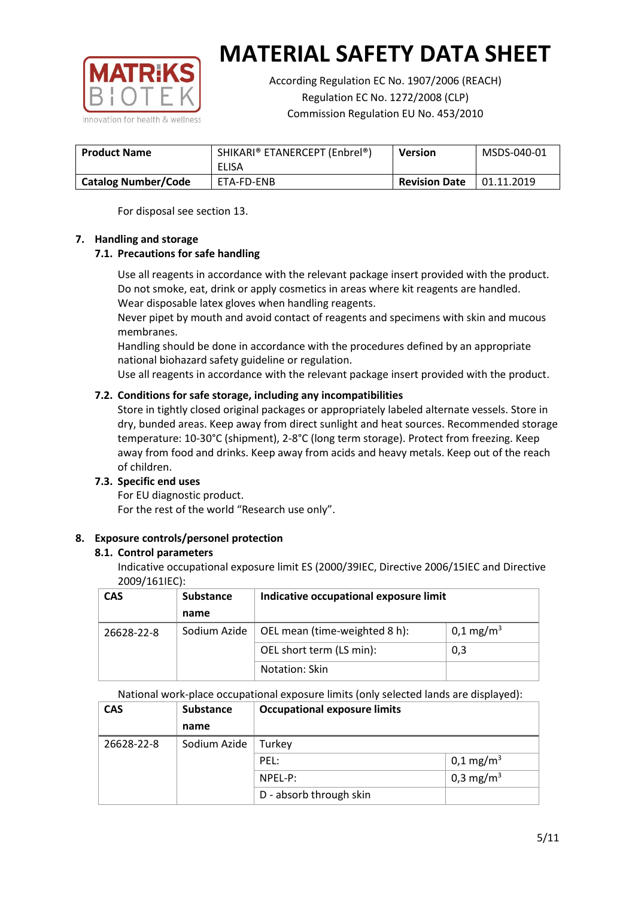

According Regulation EC No. 1907/2006 (REACH) Regulation EC No. 1272/2008 (CLP) Commission Regulation EU No. 453/2010

| <b>Product Name</b>        | SHIKARI® ETANERCEPT (Enbrel®)<br>ELISA | <b>Version</b>       | MSDS-040-01 |
|----------------------------|----------------------------------------|----------------------|-------------|
| <b>Catalog Number/Code</b> | ETA-FD-ENB                             | <b>Revision Date</b> | 01.11.2019  |

For disposal see section 13.

## **7. Handling and storage**

## **7.1. Precautions for safe handling**

Use all reagents in accordance with the relevant package insert provided with the product. Do not smoke, eat, drink or apply cosmetics in areas where kit reagents are handled. Wear disposable latex gloves when handling reagents.

Never pipet by mouth and avoid contact of reagents and specimens with skin and mucous membranes.

Handling should be done in accordance with the procedures defined by an appropriate national biohazard safety guideline or regulation.

Use all reagents in accordance with the relevant package insert provided with the product.

## **7.2. Conditions for safe storage, including any incompatibilities**

Store in tightly closed original packages or appropriately labeled alternate vessels. Store in dry, bunded areas. Keep away from direct sunlight and heat sources. Recommended storage temperature: 10-30°C (shipment), 2-8°C (long term storage). Protect from freezing. Keep away from food and drinks. Keep away from acids and heavy metals. Keep out of the reach of children.

## **7.3. Specific end uses**

For EU diagnostic product. For the rest of the world "Research use only".

## **8. Exposure controls/personel protection**

#### **8.1. Control parameters**

Indicative occupational exposure limit ES (2000/39IEC, Directive 2006/15IEC and Directive 2009/161IEC):

| <b>CAS</b> | <b>Substance</b> | Indicative occupational exposure limit |                         |
|------------|------------------|----------------------------------------|-------------------------|
|            | name             |                                        |                         |
| 26628-22-8 | Sodium Azide     | OEL mean (time-weighted 8 h):          | $0,1 \,\mathrm{mg/m^3}$ |
|            |                  | OEL short term (LS min):               | 0,3                     |
|            |                  | Notation: Skin                         |                         |

National work-place occupational exposure limits (only selected lands are displayed):

| <b>CAS</b> | <b>Substance</b> | <b>Occupational exposure limits</b> |                         |  |
|------------|------------------|-------------------------------------|-------------------------|--|
|            | name             |                                     |                         |  |
| 26628-22-8 | Sodium Azide     | Turkey                              |                         |  |
|            |                  | PEL:                                | $0,1 \,\mathrm{mg/m^3}$ |  |
|            |                  | $NPEL-P$ :                          | 0,3 mg/m <sup>3</sup>   |  |
|            |                  | D - absorb through skin             |                         |  |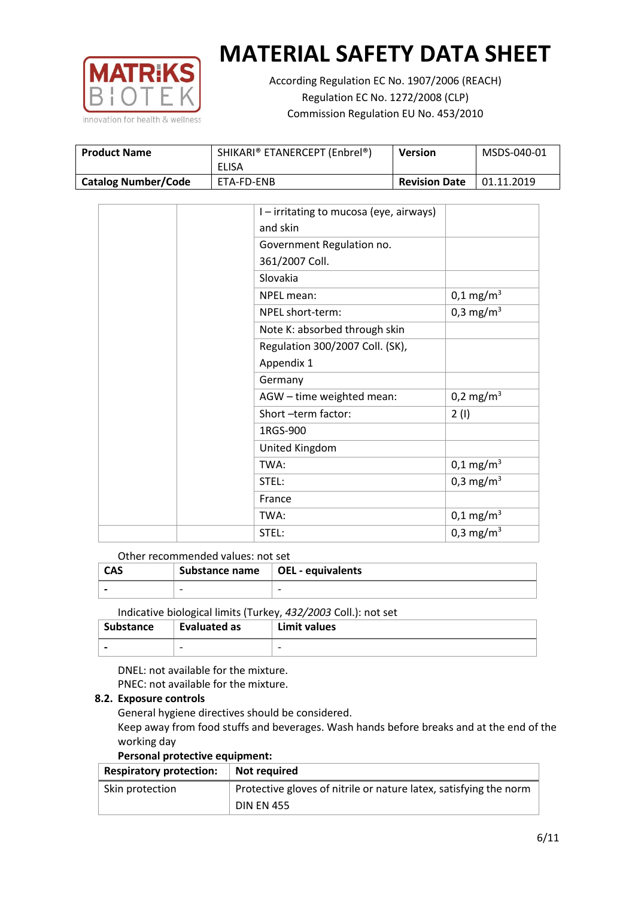

According Regulation EC No. 1907/2006 (REACH) Regulation EC No. 1272/2008 (CLP) Commission Regulation EU No. 453/2010

| <b>Product Name</b>        | SHIKARI® ETANERCEPT (Enbrel®)<br>ELISA | <b>Version</b>       | MSDS-040-01 |
|----------------------------|----------------------------------------|----------------------|-------------|
| <b>Catalog Number/Code</b> | ETA-FD-ENB                             | <b>Revision Date</b> | 01.11.2019  |

|  | I - irritating to mucosa (eye, airways) |                       |
|--|-----------------------------------------|-----------------------|
|  | and skin                                |                       |
|  | Government Regulation no.               |                       |
|  | 361/2007 Coll.                          |                       |
|  | Slovakia                                |                       |
|  | NPEL mean:                              | $0,1 \text{ mg/m}^3$  |
|  | NPEL short-term:                        | 0,3 mg/m <sup>3</sup> |
|  | Note K: absorbed through skin           |                       |
|  | Regulation 300/2007 Coll. (SK),         |                       |
|  | Appendix 1                              |                       |
|  | Germany                                 |                       |
|  | AGW - time weighted mean:               | 0,2 mg/m <sup>3</sup> |
|  | Short-term factor:                      | 2(1)                  |
|  | 1RGS-900                                |                       |
|  | United Kingdom                          |                       |
|  | TWA:                                    | $0,1 \text{ mg/m}^3$  |
|  | STEL:                                   | 0,3 mg/m <sup>3</sup> |
|  | France                                  |                       |
|  | TWA:                                    | $0,1 \text{ mg/m}^3$  |
|  | STEL:                                   | 0,3 mg/m <sup>3</sup> |

## Other recommended values: not set

| <b>CAS</b> | Substance name $\vert$ OEL - equivalents |   |
|------------|------------------------------------------|---|
|            | $\overline{\phantom{0}}$                 | - |
|            |                                          |   |

Indicative biological limits (Turkey, *432/2003* Coll.): not set

| Substance                | Evaluated as             | Limit values             |
|--------------------------|--------------------------|--------------------------|
| $\overline{\phantom{0}}$ | $\overline{\phantom{0}}$ | $\overline{\phantom{0}}$ |

DNEL: not available for the mixture. PNEC: not available for the mixture.

#### **8.2. Exposure controls**

General hygiene directives should be considered.

Keep away from food stuffs and beverages. Wash hands before breaks and at the end of the working day

#### **Personal protective equipment:**

| <b>Respiratory protection:</b> | Not required                                                      |
|--------------------------------|-------------------------------------------------------------------|
| Skin protection                | Protective gloves of nitrile or nature latex, satisfying the norm |
|                                | <b>DIN EN 455</b>                                                 |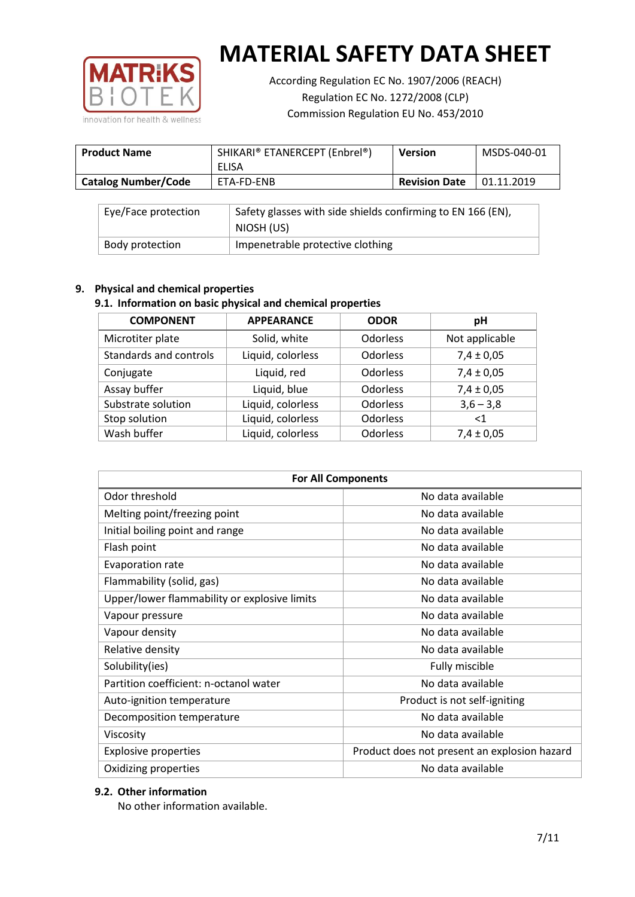

According Regulation EC No. 1907/2006 (REACH) Regulation EC No. 1272/2008 (CLP) Commission Regulation EU No. 453/2010

| <b>Product Name</b>        | SHIKARI® ETANERCEPT (Enbrel®)<br>ELISA | <b>Version</b>       | MSDS-040-01 |
|----------------------------|----------------------------------------|----------------------|-------------|
| <b>Catalog Number/Code</b> | ETA-FD-ENB                             | <b>Revision Date</b> | 01.11.2019  |

| Eye/Face protection | Safety glasses with side shields confirming to EN 166 (EN),<br>NIOSH (US) |
|---------------------|---------------------------------------------------------------------------|
| Body protection     | Impenetrable protective clothing                                          |

## **9. Physical and chemical properties**

# **9.1. Information on basic physical and chemical properties**

| <b>COMPONENT</b>       | <b>APPEARANCE</b> | <b>ODOR</b>     | pH             |
|------------------------|-------------------|-----------------|----------------|
| Microtiter plate       | Solid, white      | <b>Odorless</b> | Not applicable |
| Standards and controls | Liquid, colorless | <b>Odorless</b> | $7,4 \pm 0,05$ |
| Conjugate              | Liquid, red       | <b>Odorless</b> | $7,4 \pm 0,05$ |
| Assay buffer           | Liquid, blue      | <b>Odorless</b> | $7,4 \pm 0,05$ |
| Substrate solution     | Liquid, colorless | <b>Odorless</b> | $3,6 - 3,8$    |
| Stop solution          | Liquid, colorless | Odorless        | ${<}1$         |
| Wash buffer            | Liquid, colorless | <b>Odorless</b> | $7,4 \pm 0,05$ |

| <b>For All Components</b>                    |                                              |  |  |
|----------------------------------------------|----------------------------------------------|--|--|
| Odor threshold                               | No data available                            |  |  |
| Melting point/freezing point                 | No data available                            |  |  |
| Initial boiling point and range              | No data available                            |  |  |
| Flash point                                  | No data available                            |  |  |
| <b>Evaporation rate</b>                      | No data available                            |  |  |
| Flammability (solid, gas)                    | No data available                            |  |  |
| Upper/lower flammability or explosive limits | No data available                            |  |  |
| Vapour pressure                              | No data available                            |  |  |
| Vapour density                               | No data available                            |  |  |
| Relative density                             | No data available                            |  |  |
| Solubility(ies)                              | Fully miscible                               |  |  |
| Partition coefficient: n-octanol water       | No data available                            |  |  |
| Auto-ignition temperature                    | Product is not self-igniting                 |  |  |
| Decomposition temperature                    | No data available                            |  |  |
| Viscosity                                    | No data available                            |  |  |
| <b>Explosive properties</b>                  | Product does not present an explosion hazard |  |  |
| Oxidizing properties                         | No data available                            |  |  |

## **9.2. Other information**

No other information available.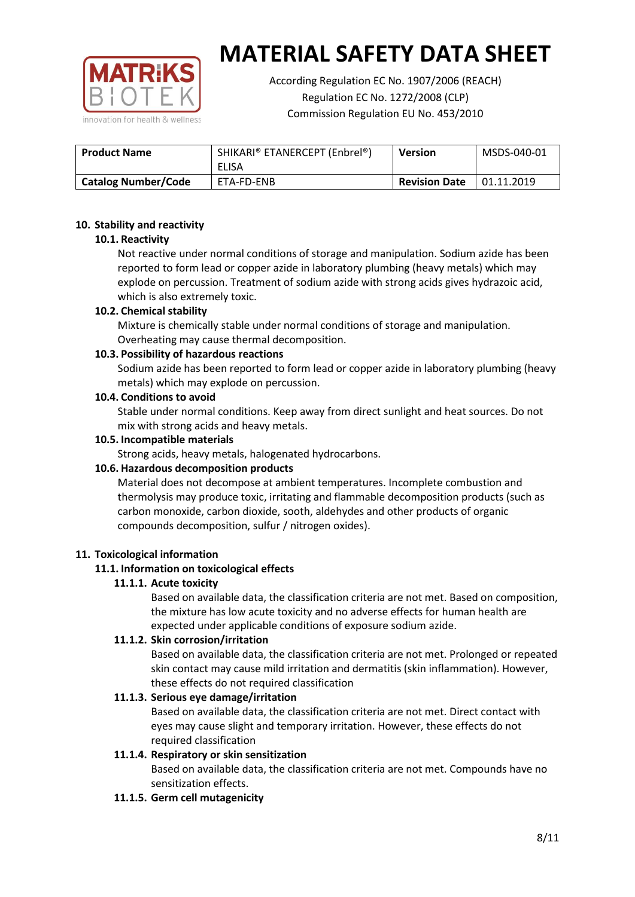

According Regulation EC No. 1907/2006 (REACH) Regulation EC No. 1272/2008 (CLP) Commission Regulation EU No. 453/2010

| <b>Product Name</b>        | SHIKARI® ETANERCEPT (Enbrel®)<br>ELISA | <b>Version</b>       | MSDS-040-01 |
|----------------------------|----------------------------------------|----------------------|-------------|
| <b>Catalog Number/Code</b> | ETA-FD-ENB                             | <b>Revision Date</b> | 01.11.2019  |

## **10. Stability and reactivity**

## **10.1. Reactivity**

Not reactive under normal conditions of storage and manipulation. Sodium azide has been reported to form lead or copper azide in laboratory plumbing (heavy metals) which may explode on percussion. Treatment of sodium azide with strong acids gives hydrazoic acid, which is also extremely toxic.

## **10.2. Chemical stability**

Mixture is chemically stable under normal conditions of storage and manipulation. Overheating may cause thermal decomposition.

## **10.3. Possibility of hazardous reactions**

Sodium azide has been reported to form lead or copper azide in laboratory plumbing (heavy metals) which may explode on percussion.

#### **10.4. Conditions to avoid**

Stable under normal conditions. Keep away from direct sunlight and heat sources. Do not mix with strong acids and heavy metals.

#### **10.5. Incompatible materials**

Strong acids, heavy metals, halogenated hydrocarbons.

## **10.6. Hazardous decomposition products**

Material does not decompose at ambient temperatures. Incomplete combustion and thermolysis may produce toxic, irritating and flammable decomposition products (such as carbon monoxide, carbon dioxide, sooth, aldehydes and other products of organic compounds decomposition, sulfur / nitrogen oxides).

#### **11. Toxicological information**

## **11.1. Information on toxicological effects**

## **11.1.1. Acute toxicity**

Based on available data, the classification criteria are not met. Based on composition, the mixture has low acute toxicity and no adverse effects for human health are expected under applicable conditions of exposure sodium azide.

## **11.1.2. Skin corrosion/irritation**

Based on available data, the classification criteria are not met. Prolonged or repeated skin contact may cause mild irritation and dermatitis (skin inflammation). However, these effects do not required classification

## **11.1.3. Serious eye damage/irritation**

Based on available data, the classification criteria are not met. Direct contact with eyes may cause slight and temporary irritation. However, these effects do not required classification

## **11.1.4. Respiratory or skin sensitization**

Based on available data, the classification criteria are not met. Compounds have no sensitization effects.

#### **11.1.5. Germ cell mutagenicity**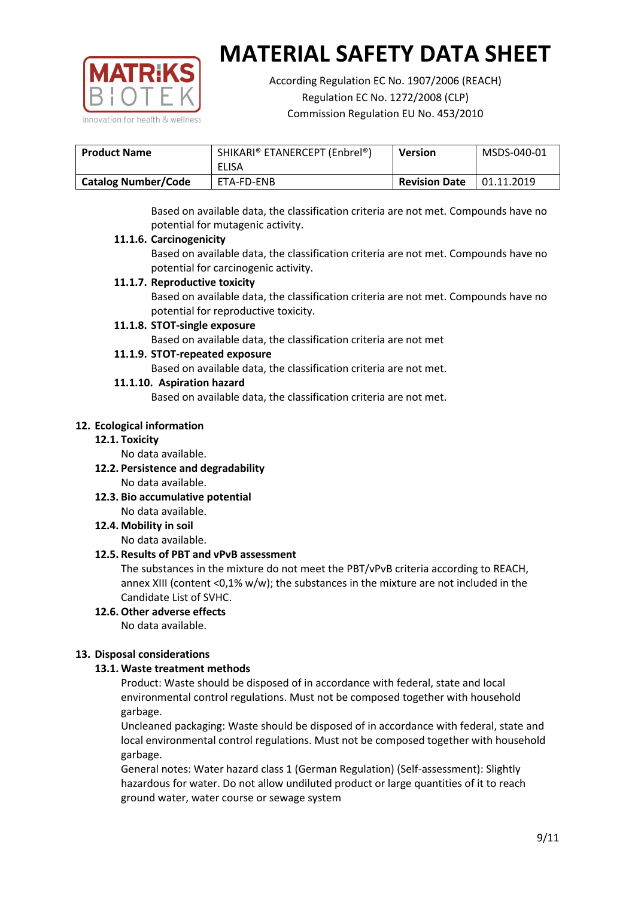

According Regulation EC No. 1907/2006 (REACH) Regulation EC No. 1272/2008 (CLP) Commission Regulation EU No. 453/2010

| <b>Product Name</b>        | SHIKARI® ETANERCEPT (Enbrel®)<br>ELISA | <b>Version</b>       | MSDS-040-01 |
|----------------------------|----------------------------------------|----------------------|-------------|
| <b>Catalog Number/Code</b> | ETA-FD-ENB                             | <b>Revision Date</b> | 01.11.2019  |

Based on available data, the classification criteria are not met. Compounds have no potential for mutagenic activity.

## **11.1.6. Carcinogenicity**

Based on available data, the classification criteria are not met. Compounds have no potential for carcinogenic activity.

## **11.1.7. Reproductive toxicity**

Based on available data, the classification criteria are not met. Compounds have no potential for reproductive toxicity.

## **11.1.8. STOT-single exposure**

Based on available data, the classification criteria are not met

## **11.1.9. STOT-repeated exposure**

Based on available data, the classification criteria are not met.

## **11.1.10. Aspiration hazard**

Based on available data, the classification criteria are not met.

## **12. Ecological information**

#### **12.1. Toxicity**

No data available.

- **12.2. Persistence and degradability** No data available.
- **12.3. Bio accumulative potential** No data available.

**12.4. Mobility in soil**

No data available.

## **12.5. Results of PBT and vPvB assessment**

The substances in the mixture do not meet the PBT/vPvB criteria according to REACH, annex XIII (content <0,1% w/w); the substances in the mixture are not included in the Candidate List of SVHC.

#### **12.6. Other adverse effects** No data available.

## **13. Disposal considerations**

## **13.1. Waste treatment methods**

Product: Waste should be disposed of in accordance with federal, state and local environmental control regulations. Must not be composed together with household garbage.

Uncleaned packaging: Waste should be disposed of in accordance with federal, state and local environmental control regulations. Must not be composed together with household garbage.

General notes: Water hazard class 1 (German Regulation) (Self-assessment): Slightly hazardous for water. Do not allow undiluted product or large quantities of it to reach ground water, water course or sewage system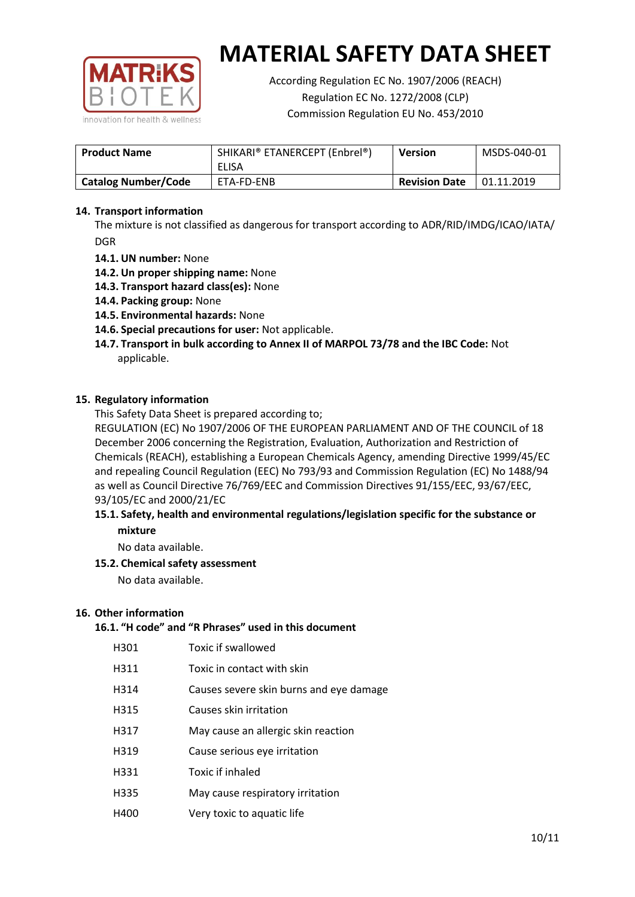

According Regulation EC No. 1907/2006 (REACH) Regulation EC No. 1272/2008 (CLP) Commission Regulation EU No. 453/2010

| <b>Product Name</b>        | SHIKARI® ETANERCEPT (Enbrel®)<br>ELISA | <b>Version</b>       | MSDS-040-01 |
|----------------------------|----------------------------------------|----------------------|-------------|
| <b>Catalog Number/Code</b> | ETA-FD-ENB                             | <b>Revision Date</b> | 01.11.2019  |

## **14. Transport information**

The mixture is not classified as dangerous for transport according to ADR/RID/IMDG/ICAO/IATA/ DGR

- **14.1. UN number:** None
- **14.2. Un proper shipping name:** None
- **14.3. Transport hazard class(es):** None
- **14.4. Packing group:** None
- **14.5. Environmental hazards:** None
- **14.6. Special precautions for user:** Not applicable.
- **14.7. Transport in bulk according to Annex II of MARPOL 73/78 and the IBC Code:** Not applicable.

#### **15. Regulatory information**

This Safety Data Sheet is prepared according to;

REGULATION (EC) No 1907/2006 OF THE EUROPEAN PARLIAMENT AND OF THE COUNCIL of 18 December 2006 concerning the Registration, Evaluation, Authorization and Restriction of Chemicals (REACH), establishing a European Chemicals Agency, amending Directive 1999/45/EC and repealing Council Regulation (EEC) No 793/93 and Commission Regulation (EC) No 1488/94 as well as Council Directive 76/769/EEC and Commission Directives 91/155/EEC, 93/67/EEC, 93/105/EC and 2000/21/EC

## **15.1. Safety, health and environmental regulations/legislation specific for the substance or mixture**

No data available.

## **15.2. Chemical safety assessment**

No data available.

#### **16. Other information**

# **16.1. "H code" and "R Phrases" used in this document**

| H301 | Toxic if swallowed |
|------|--------------------|
|------|--------------------|

- H311 Toxic in contact with skin
- H314 Causes severe skin burns and eye damage
- H315 Causes skin irritation
- H317 May cause an allergic skin reaction
- H319 Cause serious eye irritation
- H331 Toxic if inhaled
- H335 May cause respiratory irritation
- H400 Very toxic to aquatic life